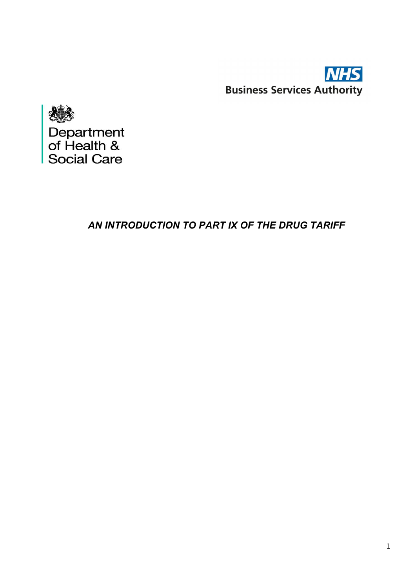



# *AN INTRODUCTION TO PART IX OF THE DRUG TARIFF*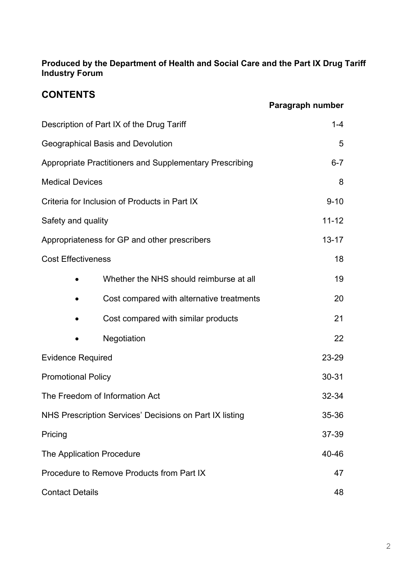**Produced by the Department of Health and Social Care and the Part IX Drug Tariff Industry Forum**

# **CONTENTS**

|                                                         |                                           | Paragraph number |
|---------------------------------------------------------|-------------------------------------------|------------------|
| Description of Part IX of the Drug Tariff               |                                           | $1 - 4$          |
| Geographical Basis and Devolution                       |                                           | 5                |
| Appropriate Practitioners and Supplementary Prescribing |                                           | $6 - 7$          |
| <b>Medical Devices</b>                                  |                                           | 8                |
| Criteria for Inclusion of Products in Part IX           |                                           | $9 - 10$         |
| Safety and quality                                      |                                           | $11 - 12$        |
| Appropriateness for GP and other prescribers            |                                           | $13 - 17$        |
| <b>Cost Effectiveness</b>                               |                                           | 18               |
|                                                         | Whether the NHS should reimburse at all   | 19               |
|                                                         | Cost compared with alternative treatments | 20               |
|                                                         | Cost compared with similar products       | 21               |
|                                                         | Negotiation                               | 22               |
| <b>Evidence Required</b>                                |                                           | 23-29            |
| <b>Promotional Policy</b>                               |                                           | 30-31            |
| The Freedom of Information Act                          |                                           | 32-34            |
| NHS Prescription Services' Decisions on Part IX listing |                                           | 35-36            |
| Pricing                                                 |                                           | 37-39            |
| The Application Procedure                               |                                           | 40-46            |
| Procedure to Remove Products from Part IX               |                                           | 47               |
| <b>Contact Details</b>                                  |                                           | 48               |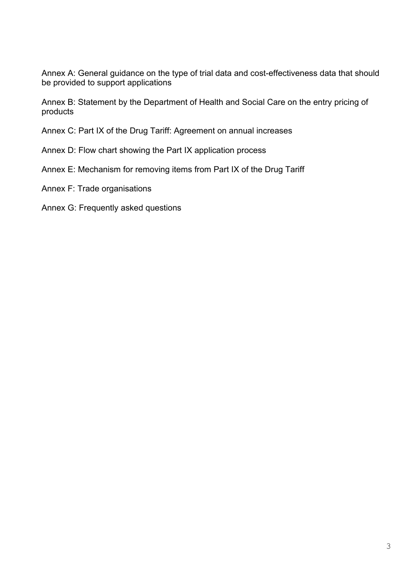Annex A: General guidance on the type of trial data and cost-effectiveness data that should be provided to support applications

Annex B: Statement by the Department of Health and Social Care on the entry pricing of products

Annex C: Part IX of the Drug Tariff: Agreement on annual increases

# Annex D: Flow chart showing the Part IX application process

Annex E: Mechanism for removing items from Part IX of the Drug Tariff

- Annex F: Trade organisations
- Annex G: Frequently asked questions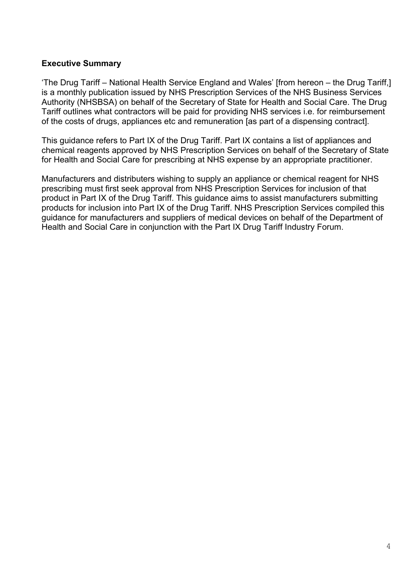# **Executive Summary**

'The Drug Tariff – National Health Service England and Wales' [from hereon – the Drug Tariff,] is a monthly publication issued by NHS Prescription Services of the NHS Business Services Authority (NHSBSA) on behalf of the Secretary of State for Health and Social Care. The Drug Tariff outlines what contractors will be paid for providing NHS services i.e. for reimbursement of the costs of drugs, appliances etc and remuneration [as part of a dispensing contract].

This guidance refers to Part IX of the Drug Tariff. Part IX contains a list of appliances and chemical reagents approved by NHS Prescription Services on behalf of the Secretary of State for Health and Social Care for prescribing at NHS expense by an appropriate practitioner.

Manufacturers and distributers wishing to supply an appliance or chemical reagent for NHS prescribing must first seek approval from NHS Prescription Services for inclusion of that product in Part IX of the Drug Tariff. This guidance aims to assist manufacturers submitting products for inclusion into Part IX of the Drug Tariff. NHS Prescription Services compiled this guidance for manufacturers and suppliers of medical devices on behalf of the Department of Health and Social Care in conjunction with the Part IX Drug Tariff Industry Forum.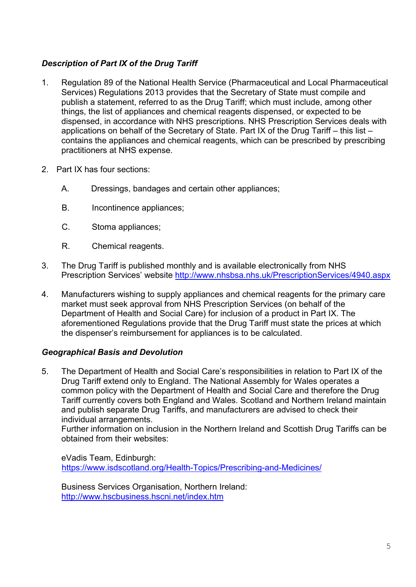# *Description of Part IX of the Drug Tariff*

- 1. Regulation 89 of the National Health Service (Pharmaceutical and Local Pharmaceutical Services) Regulations 2013 provides that the Secretary of State must compile and publish a statement, referred to as the Drug Tariff; which must include, among other things, the list of appliances and chemical reagents dispensed, or expected to be dispensed, in accordance with NHS prescriptions. NHS Prescription Services deals with applications on behalf of the Secretary of State. Part IX of the Drug Tariff – this list – contains the appliances and chemical reagents, which can be prescribed by prescribing practitioners at NHS expense.
- 2. Part IX has four sections:
	- A. Dressings, bandages and certain other appliances;
	- B. Incontinence appliances;
	- C. Stoma appliances;
	- R. Chemical reagents.
- 3. The Drug Tariff is published monthly and is available electronically from NHS Prescription Services' website <http://www.nhsbsa.nhs.uk/PrescriptionServices/4940.aspx>
- 4. Manufacturers wishing to supply appliances and chemical reagents for the primary care market must seek approval from NHS Prescription Services (on behalf of the Department of Health and Social Care) for inclusion of a product in Part IX. The aforementioned Regulations provide that the Drug Tariff must state the prices at which the dispenser's reimbursement for appliances is to be calculated.

# *Geographical Basis and Devolution*

5. The Department of Health and Social Care's responsibilities in relation to Part IX of the Drug Tariff extend only to England. The National Assembly for Wales operates a common policy with the Department of Health and Social Care and therefore the Drug Tariff currently covers both England and Wales. Scotland and Northern Ireland maintain and publish separate Drug Tariffs, and manufacturers are advised to check their individual arrangements.

Further information on inclusion in the Northern Ireland and Scottish Drug Tariffs can be obtained from their websites:

eVadis Team, Edinburgh: <https://www.isdscotland.org/Health-Topics/Prescribing-and-Medicines/>

Business Services Organisation, Northern Ireland: <http://www.hscbusiness.hscni.net/index.htm>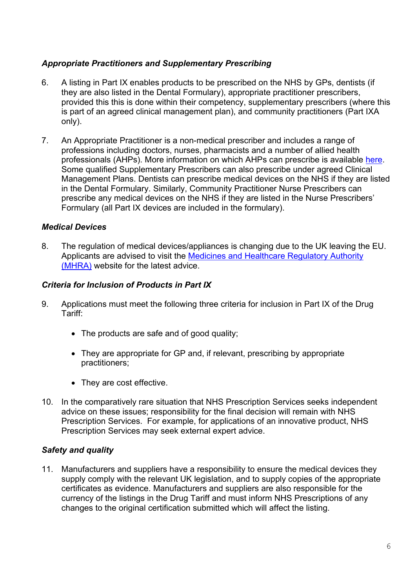# *Appropriate Practitioners and Supplementary Prescribing*

- 6. A listing in Part IX enables products to be prescribed on the NHS by GPs, dentists (if they are also listed in the Dental Formulary), appropriate practitioner prescribers, provided this this is done within their competency, supplementary prescribers (where this is part of an agreed clinical management plan), and community practitioners (Part IXA only).
- 7. An Appropriate Practitioner is a non-medical prescriber and includes a range of professions including doctors, nurses, pharmacists and a number of allied health professionals (AHPs). More information on which AHPs can prescribe is available [here.](https://www.england.nhs.uk/ahp/med-project/) Some qualified Supplementary Prescribers can also prescribe under agreed Clinical Management Plans. Dentists can prescribe medical devices on the NHS if they are listed in the Dental Formulary. Similarly, Community Practitioner Nurse Prescribers can prescribe any medical devices on the NHS if they are listed in the Nurse Prescribers' Formulary (all Part IX devices are included in the formulary).

# *Medical Devices*

8. The regulation of medical devices/appliances is changing due to the UK leaving the EU. Applicants are advised to visit the [Medicines and Healthcare Regulatory Authority](https://www.gov.uk/topic/medicines-medical-devices-blood/medical-devices-regulation-safety)  [\(MHRA\)](https://www.gov.uk/topic/medicines-medical-devices-blood/medical-devices-regulation-safety) website for the latest advice.

# *Criteria for Inclusion of Products in Part IX*

- 9. Applications must meet the following three criteria for inclusion in Part IX of the Drug Tariff:
	- The products are safe and of good quality:
	- They are appropriate for GP and, if relevant, prescribing by appropriate practitioners;
	- They are cost effective.
- 10. In the comparatively rare situation that NHS Prescription Services seeks independent advice on these issues; responsibility for the final decision will remain with NHS Prescription Services. For example, for applications of an innovative product, NHS Prescription Services may seek external expert advice.

# *Safety and quality*

11. Manufacturers and suppliers have a responsibility to ensure the medical devices they supply comply with the relevant UK legislation, and to supply copies of the appropriate certificates as evidence. Manufacturers and suppliers are also responsible for the currency of the listings in the Drug Tariff and must inform NHS Prescriptions of any changes to the original certification submitted which will affect the listing.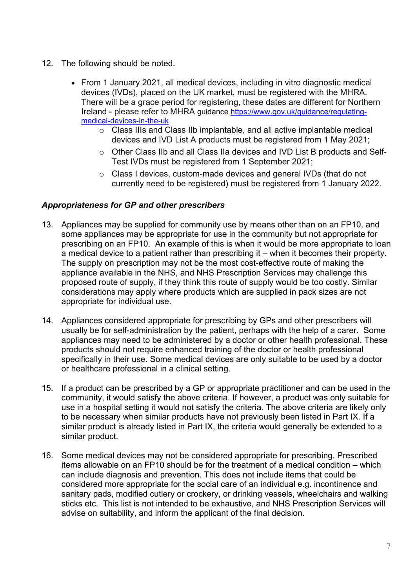- 12. The following should be noted.
	- From 1 January 2021, all medical devices, including in vitro diagnostic medical devices (IVDs), placed on the UK market, must be registered with the MHRA. There will be a grace period for registering, these dates are different for Northern Ireland - please refer to MHRA guidance [https://www.gov.uk/guidance/regulating](https://www.gov.uk/guidance/regulating-medical-devices-in-the-uk)[medical-devices-in-the-uk](https://www.gov.uk/guidance/regulating-medical-devices-in-the-uk)
		- o Class IIIs and Class IIb implantable, and all active implantable medical devices and IVD List A products must be registered from 1 May 2021;
		- o Other Class IIb and all Class IIa devices and IVD List B products and Self-Test IVDs must be registered from 1 September 2021;
		- o Class I devices, custom-made devices and general IVDs (that do not currently need to be registered) must be registered from 1 January 2022.

# *Appropriateness for GP and other prescribers*

- 13. Appliances may be supplied for community use by means other than on an FP10, and some appliances may be appropriate for use in the community but not appropriate for prescribing on an FP10. An example of this is when it would be more appropriate to loan a medical device to a patient rather than prescribing it – when it becomes their property. The supply on prescription may not be the most cost-effective route of making the appliance available in the NHS, and NHS Prescription Services may challenge this proposed route of supply, if they think this route of supply would be too costly. Similar considerations may apply where products which are supplied in pack sizes are not appropriate for individual use.
- 14. Appliances considered appropriate for prescribing by GPs and other prescribers will usually be for self-administration by the patient, perhaps with the help of a carer. Some appliances may need to be administered by a doctor or other health professional. These products should not require enhanced training of the doctor or health professional specifically in their use. Some medical devices are only suitable to be used by a doctor or healthcare professional in a clinical setting.
- 15. If a product can be prescribed by a GP or appropriate practitioner and can be used in the community, it would satisfy the above criteria. If however, a product was only suitable for use in a hospital setting it would not satisfy the criteria. The above criteria are likely only to be necessary when similar products have not previously been listed in Part IX. If a similar product is already listed in Part IX, the criteria would generally be extended to a similar product.
- 16. Some medical devices may not be considered appropriate for prescribing. Prescribed items allowable on an FP10 should be for the treatment of a medical condition – which can include diagnosis and prevention. This does not include items that could be considered more appropriate for the social care of an individual e.g. incontinence and sanitary pads, modified cutlery or crockery, or drinking vessels, wheelchairs and walking sticks etc. This list is not intended to be exhaustive, and NHS Prescription Services will advise on suitability, and inform the applicant of the final decision.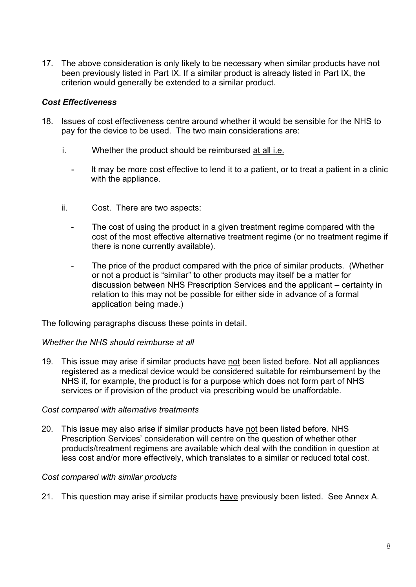17. The above consideration is only likely to be necessary when similar products have not been previously listed in Part IX. If a similar product is already listed in Part IX, the criterion would generally be extended to a similar product.

# *Cost Effectiveness*

- 18. Issues of cost effectiveness centre around whether it would be sensible for the NHS to pay for the device to be used. The two main considerations are:
	- i. Whether the product should be reimbursed at all i.e.
		- It may be more cost effective to lend it to a patient, or to treat a patient in a clinic with the appliance.
	- ii. Cost. There are two aspects:
		- The cost of using the product in a given treatment regime compared with the cost of the most effective alternative treatment regime (or no treatment regime if there is none currently available).
		- The price of the product compared with the price of similar products. (Whether or not a product is "similar" to other products may itself be a matter for discussion between NHS Prescription Services and the applicant – certainty in relation to this may not be possible for either side in advance of a formal application being made.)

The following paragraphs discuss these points in detail.

#### *Whether the NHS should reimburse at all*

19. This issue may arise if similar products have not been listed before. Not all appliances registered as a medical device would be considered suitable for reimbursement by the NHS if, for example, the product is for a purpose which does not form part of NHS services or if provision of the product via prescribing would be unaffordable.

#### *Cost compared with alternative treatments*

20. This issue may also arise if similar products have not been listed before. NHS Prescription Services' consideration will centre on the question of whether other products/treatment regimens are available which deal with the condition in question at less cost and/or more effectively, which translates to a similar or reduced total cost.

#### *Cost compared with similar products*

21. This question may arise if similar products have previously been listed. See Annex A.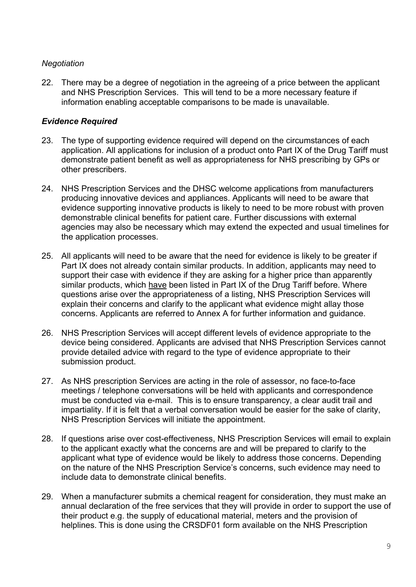# *Negotiation*

22. There may be a degree of negotiation in the agreeing of a price between the applicant and NHS Prescription Services. This will tend to be a more necessary feature if information enabling acceptable comparisons to be made is unavailable.

# *Evidence Required*

- 23. The type of supporting evidence required will depend on the circumstances of each application. All applications for inclusion of a product onto Part IX of the Drug Tariff must demonstrate patient benefit as well as appropriateness for NHS prescribing by GPs or other prescribers.
- 24. NHS Prescription Services and the DHSC welcome applications from manufacturers producing innovative devices and appliances. Applicants will need to be aware that evidence supporting innovative products is likely to need to be more robust with proven demonstrable clinical benefits for patient care. Further discussions with external agencies may also be necessary which may extend the expected and usual timelines for the application processes.
- 25. All applicants will need to be aware that the need for evidence is likely to be greater if Part IX does not already contain similar products. In addition, applicants may need to support their case with evidence if they are asking for a higher price than apparently similar products, which have been listed in Part IX of the Drug Tariff before. Where questions arise over the appropriateness of a listing, NHS Prescription Services will explain their concerns and clarify to the applicant what evidence might allay those concerns. Applicants are referred to Annex A for further information and guidance.
- 26. NHS Prescription Services will accept different levels of evidence appropriate to the device being considered. Applicants are advised that NHS Prescription Services cannot provide detailed advice with regard to the type of evidence appropriate to their submission product.
- 27. As NHS prescription Services are acting in the role of assessor, no face-to-face meetings / telephone conversations will be held with applicants and correspondence must be conducted via e-mail. This is to ensure transparency, a clear audit trail and impartiality. If it is felt that a verbal conversation would be easier for the sake of clarity, NHS Prescription Services will initiate the appointment.
- 28. If questions arise over cost-effectiveness, NHS Prescription Services will email to explain to the applicant exactly what the concerns are and will be prepared to clarify to the applicant what type of evidence would be likely to address those concerns. Depending on the nature of the NHS Prescription Service's concerns, such evidence may need to include data to demonstrate clinical benefits.
- 29. When a manufacturer submits a chemical reagent for consideration, they must make an annual declaration of the free services that they will provide in order to support the use of their product e.g. the supply of educational material, meters and the provision of helplines. This is done using the CRSDF01 form available on the NHS Prescription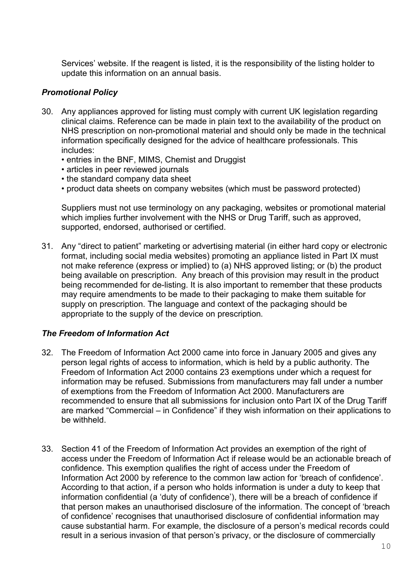Services' website. If the reagent is listed, it is the responsibility of the listing holder to update this information on an annual basis.

# *Promotional Policy*

- 30. Any appliances approved for listing must comply with current UK legislation regarding clinical claims. Reference can be made in plain text to the availability of the product on NHS prescription on non-promotional material and should only be made in the technical information specifically designed for the advice of healthcare professionals. This includes:
	- entries in the BNF, MIMS, Chemist and Druggist
	- articles in peer reviewed journals
	- the standard company data sheet
	- product data sheets on company websites (which must be password protected)

Suppliers must not use terminology on any packaging, websites or promotional material which implies further involvement with the NHS or Drug Tariff, such as approved, supported, endorsed, authorised or certified.

31. Any "direct to patient" marketing or advertising material (in either hard copy or electronic format, including social media websites) promoting an appliance listed in Part IX must not make reference (express or implied) to (a) NHS approved listing; or (b) the product being available on prescription. Any breach of this provision may result in the product being recommended for de-listing. It is also important to remember that these products may require amendments to be made to their packaging to make them suitable for supply on prescription. The language and context of the packaging should be appropriate to the supply of the device on prescription.

#### *The Freedom of Information Act*

- 32. The Freedom of Information Act 2000 came into force in January 2005 and gives any person legal rights of access to information, which is held by a public authority. The Freedom of Information Act 2000 contains 23 exemptions under which a request for information may be refused. Submissions from manufacturers may fall under a number of exemptions from the Freedom of Information Act 2000. Manufacturers are recommended to ensure that all submissions for inclusion onto Part IX of the Drug Tariff are marked "Commercial – in Confidence" if they wish information on their applications to be withheld.
- 33. Section 41 of the Freedom of Information Act provides an exemption of the right of access under the Freedom of Information Act if release would be an actionable breach of confidence. This exemption qualifies the right of access under the Freedom of Information Act 2000 by reference to the common law action for 'breach of confidence'. According to that action, if a person who holds information is under a duty to keep that information confidential (a 'duty of confidence'), there will be a breach of confidence if that person makes an unauthorised disclosure of the information. The concept of 'breach of confidence' recognises that unauthorised disclosure of confidential information may cause substantial harm. For example, the disclosure of a person's medical records could result in a serious invasion of that person's privacy, or the disclosure of commercially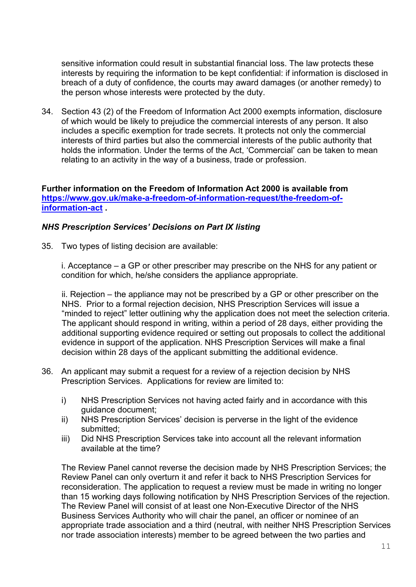sensitive information could result in substantial financial loss. The law protects these interests by requiring the information to be kept confidential: if information is disclosed in breach of a duty of confidence, the courts may award damages (or another remedy) to the person whose interests were protected by the duty.

34. Section 43 (2) of the Freedom of Information Act 2000 exempts information, disclosure of which would be likely to prejudice the commercial interests of any person. It also includes a specific exemption for trade secrets. It protects not only the commercial interests of third parties but also the commercial interests of the public authority that holds the information. Under the terms of the Act, 'Commercial' can be taken to mean relating to an activity in the way of a business, trade or profession.

# **Further information on the Freedom of Information Act 2000 is available from [https://www.gov.uk/make-a-freedom-of-information-request/the-freedom-of](https://www.gov.uk/make-a-freedom-of-information-request/the-freedom-of-information-act)[information-act](https://www.gov.uk/make-a-freedom-of-information-request/the-freedom-of-information-act) .**

# *NHS Prescription Services' Decisions on Part IX listing*

35. Two types of listing decision are available:

i. Acceptance – a GP or other prescriber may prescribe on the NHS for any patient or condition for which, he/she considers the appliance appropriate.

ii. Rejection – the appliance may not be prescribed by a GP or other prescriber on the NHS. Prior to a formal rejection decision, NHS Prescription Services will issue a "minded to reject" letter outlining why the application does not meet the selection criteria. The applicant should respond in writing, within a period of 28 days, either providing the additional supporting evidence required or setting out proposals to collect the additional evidence in support of the application. NHS Prescription Services will make a final decision within 28 days of the applicant submitting the additional evidence.

- 36. An applicant may submit a request for a review of a rejection decision by NHS Prescription Services. Applications for review are limited to:
	- i) NHS Prescription Services not having acted fairly and in accordance with this guidance document;
	- ii) NHS Prescription Services' decision is perverse in the light of the evidence submitted;
	- iii) Did NHS Prescription Services take into account all the relevant information available at the time?

The Review Panel cannot reverse the decision made by NHS Prescription Services; the Review Panel can only overturn it and refer it back to NHS Prescription Services for reconsideration. The application to request a review must be made in writing no longer than 15 working days following notification by NHS Prescription Services of the rejection. The Review Panel will consist of at least one Non-Executive Director of the NHS Business Services Authority who will chair the panel, an officer or nominee of an appropriate trade association and a third (neutral, with neither NHS Prescription Services nor trade association interests) member to be agreed between the two parties and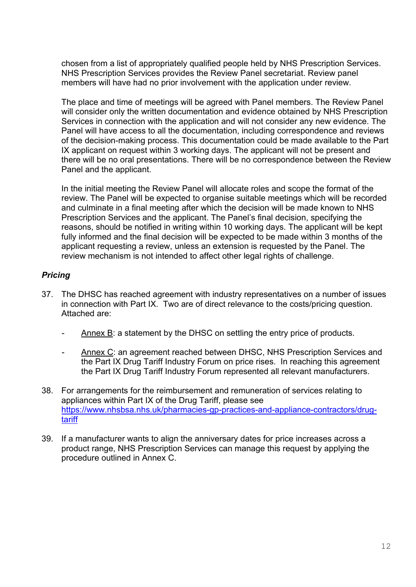chosen from a list of appropriately qualified people held by NHS Prescription Services. NHS Prescription Services provides the Review Panel secretariat. Review panel members will have had no prior involvement with the application under review.

The place and time of meetings will be agreed with Panel members. The Review Panel will consider only the written documentation and evidence obtained by NHS Prescription Services in connection with the application and will not consider any new evidence. The Panel will have access to all the documentation, including correspondence and reviews of the decision-making process. This documentation could be made available to the Part IX applicant on request within 3 working days. The applicant will not be present and there will be no oral presentations. There will be no correspondence between the Review Panel and the applicant.

In the initial meeting the Review Panel will allocate roles and scope the format of the review. The Panel will be expected to organise suitable meetings which will be recorded and culminate in a final meeting after which the decision will be made known to NHS Prescription Services and the applicant. The Panel's final decision, specifying the reasons, should be notified in writing within 10 working days. The applicant will be kept fully informed and the final decision will be expected to be made within 3 months of the applicant requesting a review, unless an extension is requested by the Panel. The review mechanism is not intended to affect other legal rights of challenge.

# *Pricing*

- 37. The DHSC has reached agreement with industry representatives on a number of issues in connection with Part IX. Two are of direct relevance to the costs/pricing question. Attached are:
	- Annex B: a statement by the DHSC on settling the entry price of products.
	- Annex C: an agreement reached between DHSC, NHS Prescription Services and the Part IX Drug Tariff Industry Forum on price rises. In reaching this agreement the Part IX Drug Tariff Industry Forum represented all relevant manufacturers.
- 38. For arrangements for the reimbursement and remuneration of services relating to appliances within Part IX of the Drug Tariff, please see [https://www.nhsbsa.nhs.uk/pharmacies-gp-practices-and-appliance-contractors/drug](https://www.nhsbsa.nhs.uk/pharmacies-gp-practices-and-appliance-contractors/drug-tariff)[tariff](https://www.nhsbsa.nhs.uk/pharmacies-gp-practices-and-appliance-contractors/drug-tariff)
- 39. If a manufacturer wants to align the anniversary dates for price increases across a product range, NHS Prescription Services can manage this request by applying the procedure outlined in Annex C.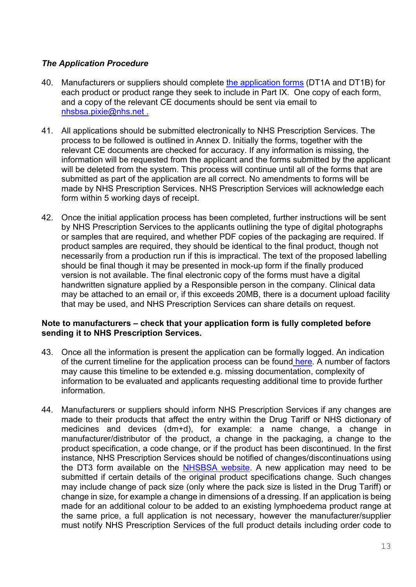# *The Application Procedure*

- 40. Manufacturers or suppliers should complete the [application forms](https://www.nhsbsa.nhs.uk/manufacturers-and-suppliers/drug-tariff-part-ix-information) (DT1A and DT1B) for each product or product range they seek to include in Part IX. One copy of each form, and a copy of the relevant CE documents should be sent via email to [nhsbsa.pixie@nhs.net](mailto:nhsbsa.pixie@nhs.net) .
- 41. All applications should be submitted electronically to NHS Prescription Services. The process to be followed is outlined in Annex D. Initially the forms, together with the relevant CE documents are checked for accuracy. If any information is missing, the information will be requested from the applicant and the forms submitted by the applicant will be deleted from the system. This process will continue until all of the forms that are submitted as part of the application are all correct. No amendments to forms will be made by NHS Prescription Services. NHS Prescription Services will acknowledge each form within 5 working days of receipt.
- 42. Once the initial application process has been completed, further instructions will be sent by NHS Prescription Services to the applicants outlining the type of digital photographs or samples that are required, and whether PDF copies of the packaging are required. If product samples are required, they should be identical to the final product, though not necessarily from a production run if this is impractical. The text of the proposed labelling should be final though it may be presented in mock-up form if the finally produced version is not available. The final electronic copy of the forms must have a digital handwritten signature applied by a Responsible person in the company. Clinical data may be attached to an email or, if this exceeds 20MB, there is a document upload facility that may be used, and NHS Prescription Services can share details on request.

#### **Note to manufacturers – check that your application form is fully completed before sending it to NHS Prescription Services.**

- 43. Once all the information is present the application can be formally logged. An indication of the current timeline for the application process can be found [here.](http://www.nhsbsa.nhs.uk/PrescriptionServices/2305.aspx) A number of factors may cause this timeline to be extended e.g. missing documentation, complexity of information to be evaluated and applicants requesting additional time to provide further information.
- 44. Manufacturers or suppliers should inform NHS Prescription Services if any changes are made to their products that affect the entry within the Drug Tariff or NHS dictionary of medicines and devices (dm+d), for example: a name change, a change in manufacturer/distributor of the product, a change in the packaging, a change to the product specification, a code change, or if the product has been discontinued. In the first instance, NHS Prescription Services should be notified of changes/discontinuations using the DT3 form available on the [NHSBSA website.](https://www.nhsbsa.nhs.uk/manufacturers-and-suppliers/drug-tariff-part-ix-information) A new application may need to be submitted if certain details of the original product specifications change. Such changes may include change of pack size (only where the pack size is listed in the Drug Tariff) or change in size, for example a change in dimensions of a dressing. If an application is being made for an additional colour to be added to an existing lymphoedema product range at the same price, a full application is not necessary, however the manufacturer/supplier must notify NHS Prescription Services of the full product details including order code to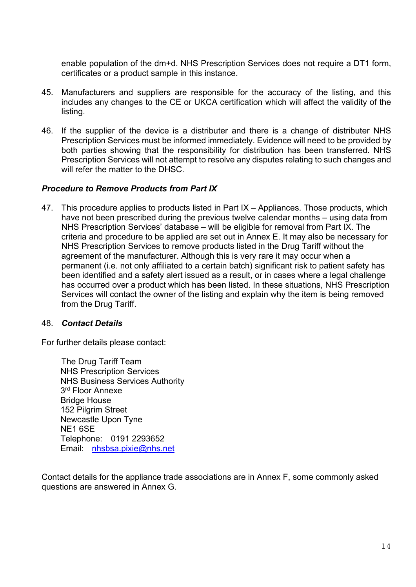enable population of the dm+d. NHS Prescription Services does not require a DT1 form, certificates or a product sample in this instance.

- 45. Manufacturers and suppliers are responsible for the accuracy of the listing, and this includes any changes to the CE or UKCA certification which will affect the validity of the listing.
- 46. If the supplier of the device is a distributer and there is a change of distributer NHS Prescription Services must be informed immediately. Evidence will need to be provided by both parties showing that the responsibility for distribution has been transferred. NHS Prescription Services will not attempt to resolve any disputes relating to such changes and will refer the matter to the DHSC.

# *Procedure to Remove Products from Part IX*

47. This procedure applies to products listed in Part IX – Appliances. Those products, which have not been prescribed during the previous twelve calendar months – using data from NHS Prescription Services' database – will be eligible for removal from Part IX. The criteria and procedure to be applied are set out in Annex E. It may also be necessary for NHS Prescription Services to remove products listed in the Drug Tariff without the agreement of the manufacturer. Although this is very rare it may occur when a permanent (i.e. not only affiliated to a certain batch) significant risk to patient safety has been identified and a safety alert issued as a result, or in cases where a legal challenge has occurred over a product which has been listed. In these situations, NHS Prescription Services will contact the owner of the listing and explain why the item is being removed from the Drug Tariff.

#### 48. *Contact Details*

For further details please contact:

The Drug Tariff Team NHS Prescription Services NHS Business Services Authority 3<sup>rd</sup> Floor Annexe Bridge House 152 Pilgrim Street Newcastle Upon Tyne NE1 6SE Telephone: 0191 2293652 Email: [nhsbsa.pixie@nhs.net](mailto:nhsbsa.pixie@nhs.net)

Contact details for the appliance trade associations are in Annex F, some commonly asked questions are answered in Annex G.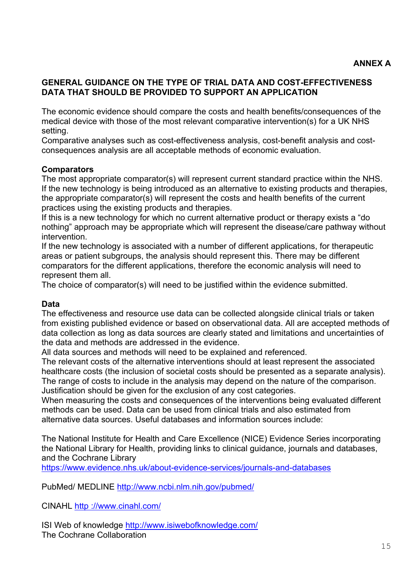# **GENERAL GUIDANCE ON THE TYPE OF TRIAL DATA AND COST-EFFECTIVENESS DATA THAT SHOULD BE PROVIDED TO SUPPORT AN APPLICATION**

The economic evidence should compare the costs and health benefits/consequences of the medical device with those of the most relevant comparative intervention(s) for a UK NHS setting.

Comparative analyses such as cost-effectiveness analysis, cost-benefit analysis and costconsequences analysis are all acceptable methods of economic evaluation.

# **Comparators**

The most appropriate comparator(s) will represent current standard practice within the NHS. If the new technology is being introduced as an alternative to existing products and therapies, the appropriate comparator(s) will represent the costs and health benefits of the current practices using the existing products and therapies.

If this is a new technology for which no current alternative product or therapy exists a "do nothing" approach may be appropriate which will represent the disease/care pathway without intervention.

If the new technology is associated with a number of different applications, for therapeutic areas or patient subgroups, the analysis should represent this. There may be different comparators for the different applications, therefore the economic analysis will need to represent them all.

The choice of comparator(s) will need to be justified within the evidence submitted.

# **Data**

The effectiveness and resource use data can be collected alongside clinical trials or taken from existing published evidence or based on observational data. All are accepted methods of data collection as long as data sources are clearly stated and limitations and uncertainties of the data and methods are addressed in the evidence.

All data sources and methods will need to be explained and referenced.

The relevant costs of the alternative interventions should at least represent the associated healthcare costs (the inclusion of societal costs should be presented as a separate analysis). The range of costs to include in the analysis may depend on the nature of the comparison. Justification should be given for the exclusion of any cost categories.

When measuring the costs and consequences of the interventions being evaluated different methods can be used. Data can be used from clinical trials and also estimated from alternative data sources. Useful databases and information sources include:

The National Institute for Health and Care Excellence (NICE) Evidence Series incorporating the National Library for Health, providing links to clinical guidance, journals and databases, and the Cochrane Library

<https://www.evidence.nhs.uk/about-evidence-services/journals-and-databases>

PubMed/ MEDLINE<http://www.ncbi.nlm.nih.gov/pubmed/>

CINAHL http [://www.cinahl.com/](http://www.cinahl.com/)

ISI Web of knowledge<http://www.isiwebofknowledge.com/> The Cochrane Collaboration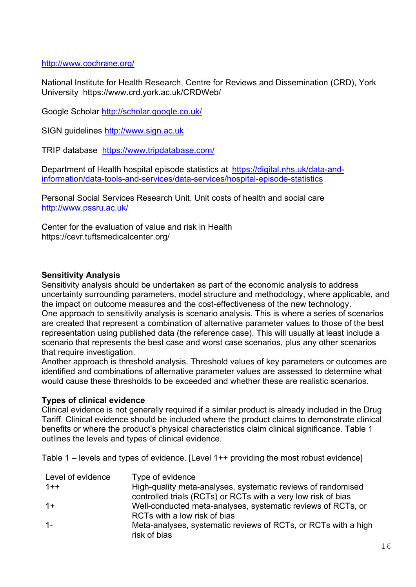# <http://www.cochrane.org/>

National Institute for Health Research, Centre for Reviews and Dissemination (CRD), York University https://www.crd.york.ac.uk/CRDWeb/

Google Scholar<http://scholar.google.co.uk/>

SIGN guidelines [http://www.sign.ac.uk](http://www.sign.ac.uk/)

TRIP database https://www.tripdatabase.com/

Department of Health hospital episode statistics at [https://digital.nhs.uk/data-and](https://digital.nhs.uk/data-and-information/data-tools-and-services/data-services/hospital-episode-statistics)[information/data-tools-and-services/data-services/hospital-episode-statistics](https://digital.nhs.uk/data-and-information/data-tools-and-services/data-services/hospital-episode-statistics)

Personal Social Services Research Unit. Unit costs of health and social care <http://www.pssru.ac.uk/>

Center for the evaluation of value and risk in Health https://cevr.tuftsmedicalcenter.org/

# **Sensitivity Analysis**

Sensitivity analysis should be undertaken as part of the economic analysis to address uncertainty surrounding parameters, model structure and methodology, where applicable, and the impact on outcome measures and the cost-effectiveness of the new technology. One approach to sensitivity analysis is scenario analysis. This is where a series of scenarios are created that represent a combination of alternative parameter values to those of the best representation using published data (the reference case). This will usually at least include a scenario that represents the best case and worst case scenarios, plus any other scenarios that require investigation.

Another approach is threshold analysis. Threshold values of key parameters or outcomes are identified and combinations of alternative parameter values are assessed to determine what would cause these thresholds to be exceeded and whether these are realistic scenarios.

#### **Types of clinical evidence**

Clinical evidence is not generally required if a similar product is already included in the Drug Tariff. Clinical evidence should be included where the product claims to demonstrate clinical benefits or where the product's physical characteristics claim clinical significance. Table 1 outlines the levels and types of clinical evidence.

Table 1 – levels and types of evidence. [Level 1++ providing the most robust evidence]

| Type of evidence                                                               |
|--------------------------------------------------------------------------------|
| High-quality meta-analyses, systematic reviews of randomised                   |
| controlled trials (RCTs) or RCTs with a very low risk of bias                  |
| Well-conducted meta-analyses, systematic reviews of RCTs, or                   |
| RCTs with a low risk of bias                                                   |
| Meta-analyses, systematic reviews of RCTs, or RCTs with a high<br>risk of bias |
|                                                                                |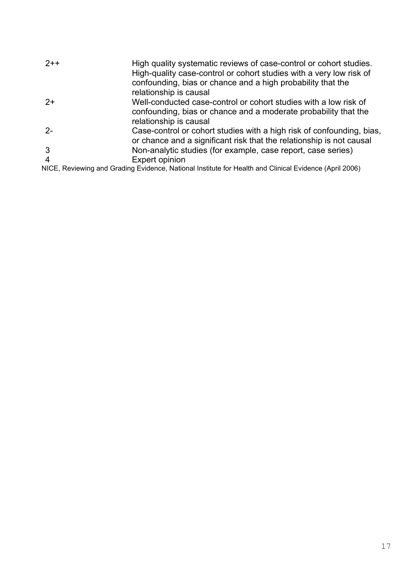| $2++$ | High quality systematic reviews of case-control or cohort studies.<br>High-quality case-control or cohort studies with a very low risk of<br>confounding, bias or chance and a high probability that the<br>relationship is causal |
|-------|------------------------------------------------------------------------------------------------------------------------------------------------------------------------------------------------------------------------------------|
| $2+$  | Well-conducted case-control or cohort studies with a low risk of<br>confounding, bias or chance and a moderate probability that the<br>relationship is causal                                                                      |
| $2 -$ | Case-control or cohort studies with a high risk of confounding, bias,<br>or chance and a significant risk that the relationship is not causal                                                                                      |
|       | Non-analytic studies (for example, case report, case series)                                                                                                                                                                       |
| 4     | Expert opinion                                                                                                                                                                                                                     |
|       | NICE, Reviewing and Grading Evidence, National Institute for Health and Clinical Evidence (April 2006)                                                                                                                             |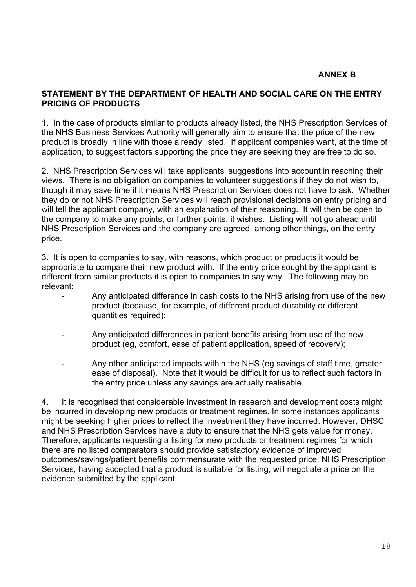# **ANNEX B**

#### **STATEMENT BY THE DEPARTMENT OF HEALTH AND SOCIAL CARE ON THE ENTRY PRICING OF PRODUCTS**

1. In the case of products similar to products already listed, the NHS Prescription Services of the NHS Business Services Authority will generally aim to ensure that the price of the new product is broadly in line with those already listed. If applicant companies want, at the time of application, to suggest factors supporting the price they are seeking they are free to do so.

2. NHS Prescription Services will take applicants' suggestions into account in reaching their views. There is no obligation on companies to volunteer suggestions if they do not wish to, though it may save time if it means NHS Prescription Services does not have to ask. Whether they do or not NHS Prescription Services will reach provisional decisions on entry pricing and will tell the applicant company, with an explanation of their reasoning. It will then be open to the company to make any points, or further points, it wishes. Listing will not go ahead until NHS Prescription Services and the company are agreed, among other things, on the entry price.

3. It is open to companies to say, with reasons, which product or products it would be appropriate to compare their new product with. If the entry price sought by the applicant is different from similar products it is open to companies to say why. The following may be relevant:

- Any anticipated difference in cash costs to the NHS arising from use of the new product (because, for example, of different product durability or different quantities required);
- Any anticipated differences in patient benefits arising from use of the new product (eg, comfort, ease of patient application, speed of recovery);
- Any other anticipated impacts within the NHS (eg savings of staff time, greater ease of disposal). Note that it would be difficult for us to reflect such factors in the entry price unless any savings are actually realisable.

4. It is recognised that considerable investment in research and development costs might be incurred in developing new products or treatment regimes. In some instances applicants might be seeking higher prices to reflect the investment they have incurred. However, DHSC and NHS Prescription Services have a duty to ensure that the NHS gets value for money. Therefore, applicants requesting a listing for new products or treatment regimes for which there are no listed comparators should provide satisfactory evidence of improved outcomes/savings/patient benefits commensurate with the requested price. NHS Prescription Services, having accepted that a product is suitable for listing, will negotiate a price on the evidence submitted by the applicant.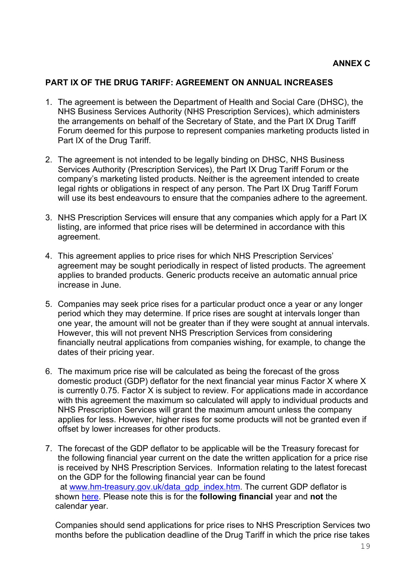#### **PART IX OF THE DRUG TARIFF: AGREEMENT ON ANNUAL INCREASES**

- 1. The agreement is between the Department of Health and Social Care (DHSC), the NHS Business Services Authority (NHS Prescription Services), which administers the arrangements on behalf of the Secretary of State, and the Part IX Drug Tariff Forum deemed for this purpose to represent companies marketing products listed in Part IX of the Drug Tariff.
- 2. The agreement is not intended to be legally binding on DHSC, NHS Business Services Authority (Prescription Services), the Part IX Drug Tariff Forum or the company's marketing listed products. Neither is the agreement intended to create legal rights or obligations in respect of any person. The Part IX Drug Tariff Forum will use its best endeavours to ensure that the companies adhere to the agreement.
- 3. NHS Prescription Services will ensure that any companies which apply for a Part IX listing, are informed that price rises will be determined in accordance with this agreement.
- 4. This agreement applies to price rises for which NHS Prescription Services' agreement may be sought periodically in respect of listed products. The agreement applies to branded products. Generic products receive an automatic annual price increase in June.
- 5. Companies may seek price rises for a particular product once a year or any longer period which they may determine. If price rises are sought at intervals longer than one year, the amount will not be greater than if they were sought at annual intervals. However, this will not prevent NHS Prescription Services from considering financially neutral applications from companies wishing, for example, to change the dates of their pricing year.
- 6. The maximum price rise will be calculated as being the forecast of the gross domestic product (GDP) deflator for the next financial year minus Factor X where X is currently 0.75. Factor X is subject to review. For applications made in accordance with this agreement the maximum so calculated will apply to individual products and NHS Prescription Services will grant the maximum amount unless the company applies for less. However, higher rises for some products will not be granted even if offset by lower increases for other products.
- 7. The forecast of the GDP deflator to be applicable will be the Treasury forecast for the following financial year current on the date the written application for a price rise is received by NHS Prescription Services. Information relating to the latest forecast on the GDP for the following financial year can be found at [www.hm-treasury.gov.uk/data\\_gdp\\_index.htm.](http://www.hm-treasury.gov.uk/data_gdp_index.htm) The current GDP deflator is shown [here.](http://www.nhsbsa.nhs.uk/PrescriptionServices/1818.aspx) Please note this is for the **following financial** year and **not** the calendar year.

Companies should send applications for price rises to NHS Prescription Services two months before the publication deadline of the Drug Tariff in which the price rise takes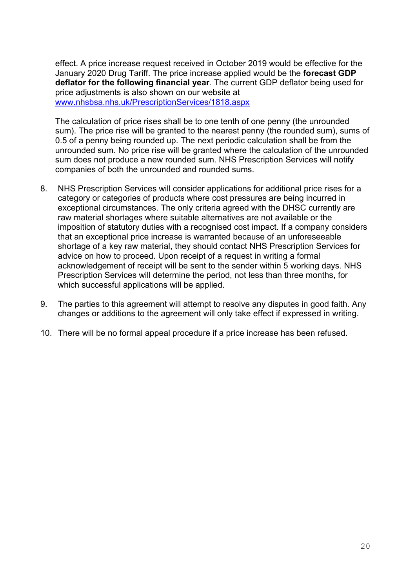effect. A price increase request received in October 2019 would be effective for the January 2020 Drug Tariff. The price increase applied would be the **forecast GDP deflator for the following financial year**. The current GDP deflator being used for price adjustments is also shown on our website at [www.nhsbsa.nhs.uk/PrescriptionServices/1818.aspx](http://www.nhsbsa.nhs.uk/PrescriptionServices/1818.aspx)

The calculation of price rises shall be to one tenth of one penny (the unrounded sum). The price rise will be granted to the nearest penny (the rounded sum), sums of 0.5 of a penny being rounded up. The next periodic calculation shall be from the unrounded sum. No price rise will be granted where the calculation of the unrounded sum does not produce a new rounded sum. NHS Prescription Services will notify companies of both the unrounded and rounded sums.

- 8. NHS Prescription Services will consider applications for additional price rises for a category or categories of products where cost pressures are being incurred in exceptional circumstances. The only criteria agreed with the DHSC currently are raw material shortages where suitable alternatives are not available or the imposition of statutory duties with a recognised cost impact. If a company considers that an exceptional price increase is warranted because of an unforeseeable shortage of a key raw material, they should contact NHS Prescription Services for advice on how to proceed. Upon receipt of a request in writing a formal acknowledgement of receipt will be sent to the sender within 5 working days. NHS Prescription Services will determine the period, not less than three months, for which successful applications will be applied.
- 9. The parties to this agreement will attempt to resolve any disputes in good faith. Any changes or additions to the agreement will only take effect if expressed in writing.
- 10. There will be no formal appeal procedure if a price increase has been refused.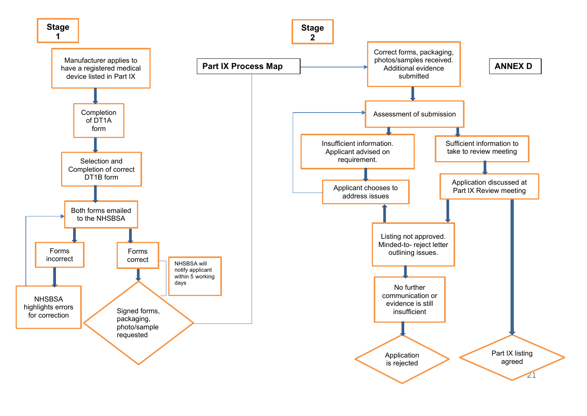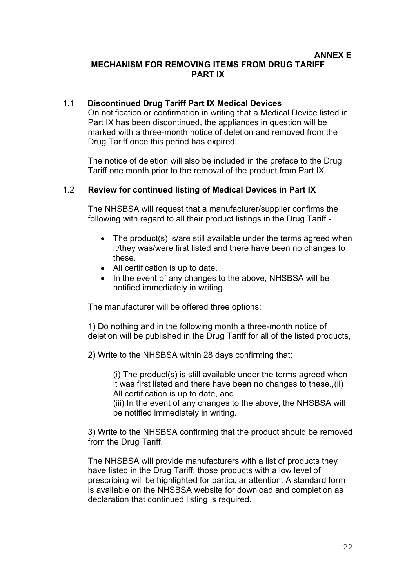#### **ANNEX E MECHANISM FOR REMOVING ITEMS FROM DRUG TARIFF PART IX**

### 1.1 **Discontinued Drug Tariff Part IX Medical Devices**

On notification or confirmation in writing that a Medical Device listed in Part IX has been discontinued, the appliances in question will be marked with a three-month notice of deletion and removed from the Drug Tariff once this period has expired.

The notice of deletion will also be included in the preface to the Drug Tariff one month prior to the removal of the product from Part IX.

#### 1.2 **Review for continued listing of Medical Devices in Part IX**

The NHSBSA will request that a manufacturer/supplier confirms the following with regard to all their product listings in the Drug Tariff -

- The product(s) is/are still available under the terms agreed when it/they was/were first listed and there have been no changes to these.
- All certification is up to date.
- In the event of any changes to the above, NHSBSA will be notified immediately in writing.

The manufacturer will be offered three options:

1) Do nothing and in the following month a three-month notice of deletion will be published in the Drug Tariff for all of the listed products,

2) Write to the NHSBSA within 28 days confirming that:

(i) The product(s) is still available under the terms agreed when it was first listed and there have been no changes to these.,(ii) All certification is up to date, and

(iii) In the event of any changes to the above, the NHSBSA will be notified immediately in writing.

3) Write to the NHSBSA confirming that the product should be removed from the Drug Tariff.

The NHSBSA will provide manufacturers with a list of products they have listed in the Drug Tariff; those products with a low level of prescribing will be highlighted for particular attention. A standard form is available on the NHSBSA website for download and completion as declaration that continued listing is required.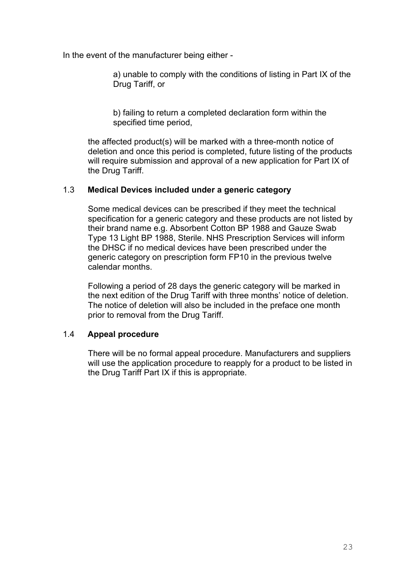In the event of the manufacturer being either -

a) unable to comply with the conditions of listing in Part IX of the Drug Tariff, or

b) failing to return a completed declaration form within the specified time period,

the affected product(s) will be marked with a three-month notice of deletion and once this period is completed, future listing of the products will require submission and approval of a new application for Part IX of the Drug Tariff.

#### 1.3 **Medical Devices included under a generic category**

Some medical devices can be prescribed if they meet the technical specification for a generic category and these products are not listed by their brand name e.g. Absorbent Cotton BP 1988 and Gauze Swab Type 13 Light BP 1988, Sterile. NHS Prescription Services will inform the DHSC if no medical devices have been prescribed under the generic category on prescription form FP10 in the previous twelve calendar months.

Following a period of 28 days the generic category will be marked in the next edition of the Drug Tariff with three months' notice of deletion. The notice of deletion will also be included in the preface one month prior to removal from the Drug Tariff.

#### 1.4 **Appeal procedure**

There will be no formal appeal procedure. Manufacturers and suppliers will use the application procedure to reapply for a product to be listed in the Drug Tariff Part IX if this is appropriate.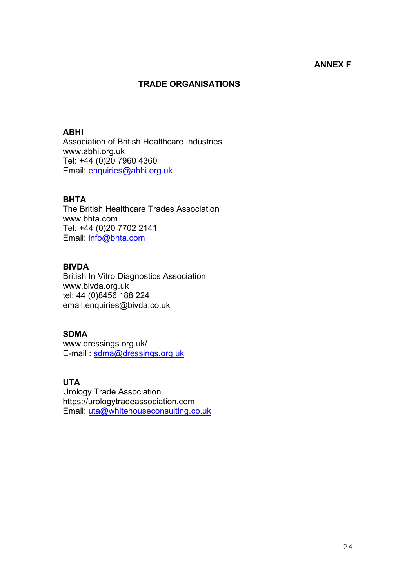### **ANNEX F**

# **TRADE ORGANISATIONS**

#### **ABHI**

Association of British Healthcare Industries www.abhi.org.uk Tel: +44 (0)20 7960 4360 Email: [enquiries@abhi.org.uk](mailto:enquiries@abhi.org.uk) 

#### **BHTA**

The British Healthcare Trades Association www.bhta.com Tel: +44 (0)20 7702 2141 Email: [info@bhta.com](mailto:info@bhta.com)

# **BIVDA**

British In Vitro Diagnostics Association www.bivda.org.uk tel: 44 (0)8456 188 224 email:enquiries@bivda.co.uk

#### **SDMA**

www.dressings.org.uk/ E-mail : [sdma@dressings.org.uk](mailto:sdma@dressings.org.uk)

#### **UTA**

Urology Trade Association https://urologytradeassociation.com Email: uta@whitehouseconsulting.co.uk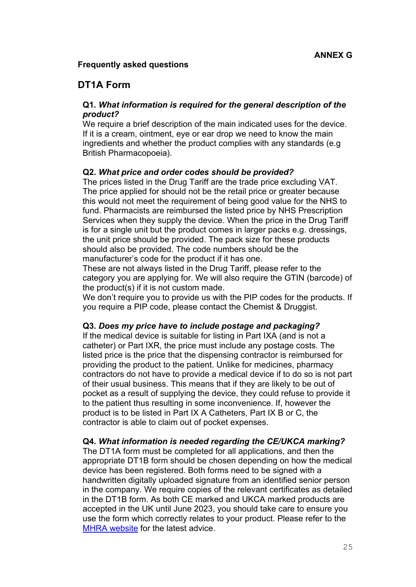# **Frequently asked questions**

# **DT1A Form**

# **Q1***. What information is required for the general description of the product?*

We require a brief description of the main indicated uses for the device. If it is a cream, ointment, eye or ear drop we need to know the main ingredients and whether the product complies with any standards (e.g British Pharmacopoeia).

# **Q2.** *What price and order codes should be provided?*

The prices listed in the Drug Tariff are the trade price excluding VAT. The price applied for should not be the retail price or greater because this would not meet the requirement of being good value for the NHS to fund. Pharmacists are reimbursed the listed price by NHS Prescription Services when they supply the device. When the price in the Drug Tariff is for a single unit but the product comes in larger packs e.g. dressings, the unit price should be provided. The pack size for these products should also be provided. The code numbers should be the manufacturer's code for the product if it has one.

These are not always listed in the Drug Tariff, please refer to the category you are applying for. We will also require the GTIN (barcode) of the product(s) if it is not custom made.

We don't require you to provide us with the PIP codes for the products. If you require a PIP code, please contact the Chemist & Druggist.

#### **Q3.** *Does my price have to include postage and packaging?*

If the medical device is suitable for listing in Part IXA (and is not a catheter) or Part IXR, the price must include any postage costs. The listed price is the price that the dispensing contractor is reimbursed for providing the product to the patient. Unlike for medicines, pharmacy contractors do not have to provide a medical device if to do so is not part of their usual business. This means that if they are likely to be out of pocket as a result of supplying the device, they could refuse to provide it to the patient thus resulting in some inconvenience. If, however the product is to be listed in Part IX A Catheters, Part IX B or C, the contractor is able to claim out of pocket expenses.

#### **Q4.** *What information is needed regarding the CE/UKCA marking?*

The DT1A form must be completed for all applications, and then the appropriate DT1B form should be chosen depending on how the medical device has been registered. Both forms need to be signed with a handwritten digitally uploaded signature from an identified senior person in the company. We require copies of the relevant certificates as detailed in the DT1B form. As both CE marked and UKCA marked products are accepted in the UK until June 2023, you should take care to ensure you use the form which correctly relates to your product. Please refer to the [MHRA website](https://www.gov.uk/topic/medicines-medical-devices-blood/medical-devices-regulation-safety) for the latest advice.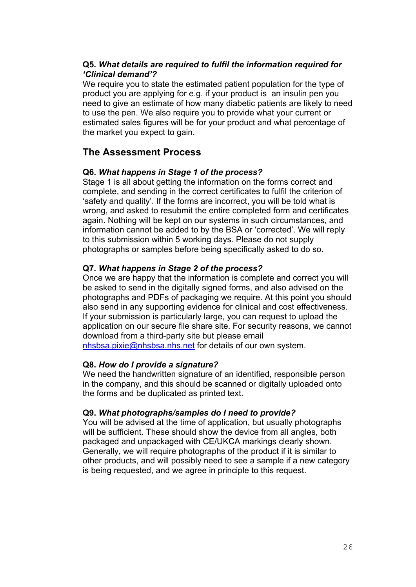# **Q5.** *What details are required to fulfil the information required for 'Clinical demand'?*

We require you to state the estimated patient population for the type of product you are applying for e.g. if your product is an insulin pen you need to give an estimate of how many diabetic patients are likely to need to use the pen. We also require you to provide what your current or estimated sales figures will be for your product and what percentage of the market you expect to gain.

# **The Assessment Process**

# **Q6.** *What happens in Stage 1 of the process?*

Stage 1 is all about getting the information on the forms correct and complete, and sending in the correct certificates to fulfil the criterion of 'safety and quality'. If the forms are incorrect, you will be told what is wrong, and asked to resubmit the entire completed form and certificates again. Nothing will be kept on our systems in such circumstances, and information cannot be added to by the BSA or 'corrected'. We will reply to this submission within 5 working days. Please do not supply photographs or samples before being specifically asked to do so.

# **Q7.** *What happens in Stage 2 of the process?*

Once we are happy that the information is complete and correct you will be asked to send in the digitally signed forms, and also advised on the photographs and PDFs of packaging we require. At this point you should also send in any supporting evidence for clinical and cost effectiveness. If your submission is particularly large, you can request to upload the application on our secure file share site. For security reasons, we cannot download from a third-party site but please email [nhsbsa.pixie@nhsbsa.nhs.net](mailto:nhsbsa.pixie@nhsbsa.nhs.net) for details of our own system.

#### **Q8.** *How do I provide a signature?*

We need the handwritten signature of an identified, responsible person in the company, and this should be scanned or digitally uploaded onto the forms and be duplicated as printed text.

#### **Q9.** *What photographs/samples do I need to provide?*

You will be advised at the time of application, but usually photographs will be sufficient. These should show the device from all angles, both packaged and unpackaged with CE/UKCA markings clearly shown. Generally, we will require photographs of the product if it is similar to other products, and will possibly need to see a sample if a new category is being requested, and we agree in principle to this request.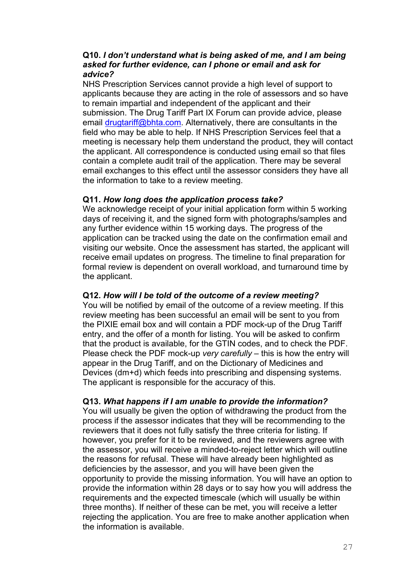#### **Q10.** *I don't understand what is being asked of me, and I am being asked for further evidence, can I phone or email and ask for advice?*

NHS Prescription Services cannot provide a high level of support to applicants because they are acting in the role of assessors and so have to remain impartial and independent of the applicant and their submission. The Drug Tariff Part IX Forum can provide advice, please email [drugtariff@bhta.com.](mailto:drugtariff@bhta.com) Alternatively, there are consultants in the field who may be able to help. If NHS Prescription Services feel that a meeting is necessary help them understand the product, they will contact the applicant. All correspondence is conducted using email so that files contain a complete audit trail of the application. There may be several email exchanges to this effect until the assessor considers they have all the information to take to a review meeting.

#### **Q11.** *How long does the application process take?*

We acknowledge receipt of your initial application form within 5 working days of receiving it, and the signed form with photographs/samples and any further evidence within 15 working days. The progress of the application can be tracked using the date on the confirmation email and visiting our website. Once the assessment has started, the applicant will receive email updates on progress. The timeline to final preparation for formal review is dependent on overall workload, and turnaround time by the applicant.

#### **Q12.** *How will I be told of the outcome of a review meeting?*

You will be notified by email of the outcome of a review meeting. If this review meeting has been successful an email will be sent to you from the PIXIE email box and will contain a PDF mock-up of the Drug Tariff entry, and the offer of a month for listing. You will be asked to confirm that the product is available, for the GTIN codes, and to check the PDF. Please check the PDF mock-up *very carefully* – this is how the entry will appear in the Drug Tariff, and on the Dictionary of Medicines and Devices (dm+d) which feeds into prescribing and dispensing systems. The applicant is responsible for the accuracy of this.

#### **Q13.** *What happens if I am unable to provide the information?*

You will usually be given the option of withdrawing the product from the process if the assessor indicates that they will be recommending to the reviewers that it does not fully satisfy the three criteria for listing. If however, you prefer for it to be reviewed, and the reviewers agree with the assessor, you will receive a minded-to-reject letter which will outline the reasons for refusal. These will have already been highlighted as deficiencies by the assessor, and you will have been given the opportunity to provide the missing information. You will have an option to provide the information within 28 days or to say how you will address the requirements and the expected timescale (which will usually be within three months). If neither of these can be met, you will receive a letter rejecting the application. You are free to make another application when the information is available.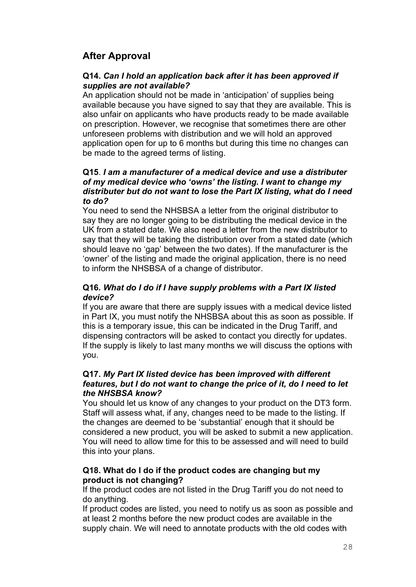# **After Approval**

#### **Q14.** *Can I hold an application back after it has been approved if supplies are not available?*

An application should not be made in 'anticipation' of supplies being available because you have signed to say that they are available. This is also unfair on applicants who have products ready to be made available on prescription. However, we recognise that sometimes there are other unforeseen problems with distribution and we will hold an approved application open for up to 6 months but during this time no changes can be made to the agreed terms of listing.

#### **Q15**. *I am a manufacturer of a medical device and use a distributer of my medical device who 'owns' the listing. I want to change my distributer but do not want to lose the Part IX listing, what do I need to do?*

You need to send the NHSBSA a letter from the original distributor to say they are no longer going to be distributing the medical device in the UK from a stated date. We also need a letter from the new distributor to say that they will be taking the distribution over from a stated date (which should leave no 'gap' between the two dates). If the manufacturer is the 'owner' of the listing and made the original application, there is no need to inform the NHSBSA of a change of distributor.

### **Q16***. What do I do if I have supply problems with a Part IX listed device?*

If you are aware that there are supply issues with a medical device listed in Part IX, you must notify the NHSBSA about this as soon as possible. If this is a temporary issue, this can be indicated in the Drug Tariff, and dispensing contractors will be asked to contact you directly for updates. If the supply is likely to last many months we will discuss the options with you.

#### **Q17.** *My Part IX listed device has been improved with different features, but I do not want to change the price of it, do I need to let the NHSBSA know?*

You should let us know of any changes to your product on the DT3 form. Staff will assess what, if any, changes need to be made to the listing. If the changes are deemed to be 'substantial' enough that it should be considered a new product, you will be asked to submit a new application. You will need to allow time for this to be assessed and will need to build this into your plans.

#### **Q18. What do I do if the product codes are changing but my product is not changing?**

If the product codes are not listed in the Drug Tariff you do not need to do anything.

If product codes are listed, you need to notify us as soon as possible and at least 2 months before the new product codes are available in the supply chain. We will need to annotate products with the old codes with